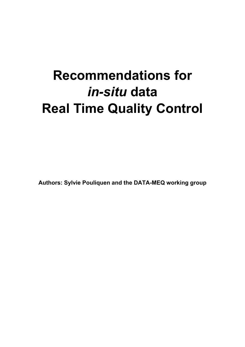# **Recommendations for**  *in-situ* **data Real Time Quality Control**

**Authors: Sylvie Pouliquen and the DATA-MEQ working group**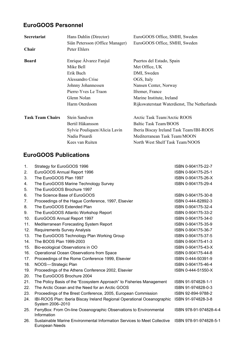## **EuroGOOS Personnel**

| Hans Dahlin (Director)          | EuroGOOS Office, SMHI, Sweden                |
|---------------------------------|----------------------------------------------|
| Siân Petersson (Office Manager) | EuroGOOS Office, SMHI, Sweden                |
| Peter Ehlers                    |                                              |
| Enrique Álvarez Fanjul          | Puertos del Estado, Spain                    |
| Mike Bell                       | Met Office, UK                               |
| Erik Buch                       | DMI, Sweden                                  |
| Alessandro Crise                | OGS, Italy                                   |
| Johnny Johannessen              | Nansen Center, Norway                        |
| Pierre-Yves Le Traon            | Ifremer, France                              |
| Glenn Nolan                     | Marine Institute, Ireland                    |
| Harm Oterdoom                   | Rijkswaterstaat Waterdienst, The Netherlands |
| Stein Sandven                   | Arctic Task Team/Arctic ROOS                 |
| Bertil Håkansson                | Baltic Task Team/BOOS                        |
| Sylvie Pouliquen/Alicia Lavín   | Iberia Biscay Ireland Task Team/IBI-ROOS     |
| Nadia Pinardi                   | Mediterranean Task Team/MOON                 |
| Kees van Ruiten                 | North West Shelf Task Team/NOOS              |
|                                 |                                              |

## **EuroGOOS Publications**

| 1.  | Strategy for EuroGOOS 1996                                                                  | ISBN 0-904175-22-7     |
|-----|---------------------------------------------------------------------------------------------|------------------------|
| 2.  | EuroGOOS Annual Report 1996                                                                 | ISBN 0-904175-25-1     |
| 3.  | The EuroGOOS Plan 1997                                                                      | ISBN 0-904175-26-X     |
| 4.  | The EuroGOOS Marine Technology Survey                                                       | ISBN 0-904175-29-4     |
| 5.  | The EuroGOOS Brochure 1997                                                                  |                        |
| 6.  | The Science Base of EuroGOOS                                                                | ISBN 0-904175-30-8     |
| 7.  | Proceedings of the Hague Conference, 1997, Elsevier                                         | ISBN 0-444-82892-3     |
| 8.  | The EuroGOOS Extended Plan                                                                  | ISBN 0-904175-32-4     |
| 9.  | The EuroGOOS Atlantic Workshop Report                                                       | ISBN 0-904175-33-2     |
| 10. | EuroGOOS Annual Report 1997                                                                 | ISBN 0-904175-34-0     |
| 11. | Mediterranean Forecasting System Report                                                     | ISBN 0-904175-35-9     |
| 12. | <b>Requirements Survey Analysis</b>                                                         | ISBN 0-904175-36-7     |
| 13. | The EuroGOOS Technology Plan Working Group                                                  | ISBN 0-904175-37-5     |
| 14. | The BOOS Plan 1999-2003                                                                     | ISBN 0-904175-41-3     |
| 15. | Bio-ecological Observations in OO                                                           | ISBN 0-904175-43-X     |
| 16. | Operational Ocean Observations from Space                                                   | ISBN 0-904175-44-8     |
| 17. | Proceedings of the Rome Conference 1999, Elsevier                                           | ISBN 0-444-50391-9     |
| 18. | NOOS-Strategic Plan                                                                         | ISBN 0-904175-46-4     |
| 19. | Proceedings of the Athens Conference 2002, Elsevier                                         | ISBN 0-444-51550-X     |
| 20. | The EuroGOOS Brochure 2004                                                                  |                        |
| 21. | The Policy Basis of the "Ecosystem Approach" to Fisheries Management                        | ISBN 91-974828-1-1     |
| 22. | The Arctic Ocean and the Need for an Arctic GOOS                                            | ISBN 91-974828-0-3     |
| 23. | Proceedings of the Brest Conference, 2005, European Commission                              | ISBN 92-894-9788-2     |
| 24. | IBI-ROOS Plan: Iberia Biscay Ireland Regional Operational Oceanographic<br>System 2006-2010 | ISBN 91-974828-3-8     |
| 25. | FerryBox: From On-line Oceanographic Observations to Environmental<br>Information           | ISBN 978-91-974828-4-4 |
| 26. | Sustainable Marine Environmental Information Services to Meet Collective<br>European Needs  | ISBN 978-91-974828-5-1 |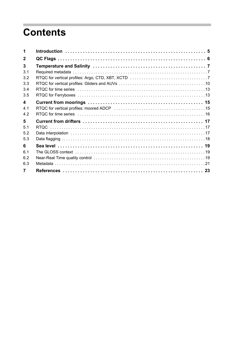## **Contents**

| 1              |  |
|----------------|--|
| $\mathbf{2}$   |  |
| 3              |  |
| 3.1            |  |
| 3.2            |  |
| 3.3            |  |
| 3.4            |  |
| 3.5            |  |
| 4              |  |
| 4.1            |  |
| 4.2            |  |
| 5              |  |
| 5 <sub>1</sub> |  |
| 5.2            |  |
| 5.3            |  |
| 6              |  |
| 61             |  |
| 6.2            |  |
| 6.3            |  |
| $\overline{7}$ |  |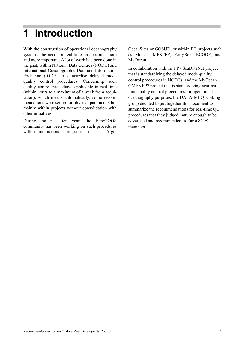## <span id="page-4-0"></span>**1 Introduction**

With the construction of operational oceanography systems, the need for real-time has become more and more important. A lot of work had been done in the past, within National Data Centres (NODC) and International Oceanographic Data and Information Exchange (IODE) to standardise delayed mode quality control procedures. Concerning such quality control procedures applicable in real-time (within hours to a maximum of a week from acquisition), which means automatically, some recommendations were set up for physical parameters but mainly within projects without consolidation with other initiatives.

During the past ten years the EuroGOOS community has been working on such procedures within international programs such as Argo, OceanSites or GOSUD, or within EC projects such as Mersea, MFSTEP, FerryBox, ECOOP, and MyOcean.

In collaboration with the FP7 SeaDataNet project that is standardizing the delayed mode quality control procedures in NODCs, and the MyOcean GMES FP7 project that is standardizing near real time quality control procedures for operational oceanography purposes, the DATA-MEQ working group decided to put together this document to summarize the recommendations for real-time QC procedures that they judged mature enough to be advertised and recommended to EuroGOOS members.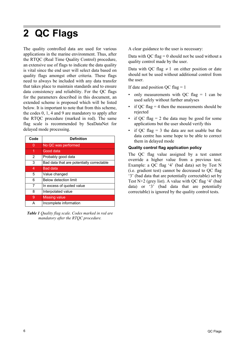## <span id="page-5-0"></span>**2 QC Flags**

The quality controlled data are used for various applications in the marine environment. Thus, after the RTQC (Real Time Quality Control) procedure, an extensive use of flags to indicate the data quality is vital since the end user will select data based on quality flags amongst other criteria. These flags need to always be included with any data transfer that takes place to maintain standards and to ensure data consistency and reliability. For the QC flags for the parameters described in this document, an extended scheme is proposed which will be listed below. It is important to note that from this scheme, the codes 0, 1, 4 and 9 are mandatory to apply after the RTQC procedure (marked in red). The same flag scale is recommended by SeaDataNet for delayed mode processing.

| Code           | <b>Definition</b>                         |
|----------------|-------------------------------------------|
| 0              | No QC was performed                       |
| 1              | Good data                                 |
| $\overline{2}$ | Probably good data                        |
| 3              | Bad data that are potentially correctable |
| 4              | <b>Bad data</b>                           |
| 5              | Value changed                             |
| 6              | Below detection limit                     |
| 7              | In excess of quoted value                 |
| 8              | Interpolated value                        |
| 9              | <b>Missing value</b>                      |
| А              | Incomplete information                    |

*Table 1 Quality flag scale. Codes marked in red are mandatory after the RTQC procedure.* 

A clear guidance to the user is necessary:

Data with QC flag  $= 0$  should not be used without a quality control made by the user.

Data with QC flag  $\neq$  1 on either position or date should not be used without additional control from the user.

If date and position QC flag  $= 1$ 

- only measurements with QC flag  $= 1$  can be used safely without further analyses
- if QC flag  $=$  4 then the measurements should be rejected
- if QC flag  $= 2$  the data may be good for some applications but the user should verify this
- if  $OC$  flag = 3 the data are not usable but the data centre has some hope to be able to correct them in delayed mode

#### **Quality control flag application policy**

The QC flag value assigned by a test cannot override a higher value from a previous test. Example: a QC flag '4' (bad data) set by Test N (i.e. gradient test) cannot be decreased to QC flag '3' (bad data that are potentially correctable) set by Test N+2 (grey list). A value with QC flag '4' (bad data) or '3' (bad data that are potentially correctable) is ignored by the quality control tests.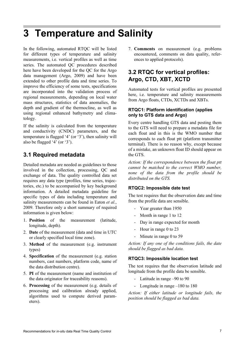## <span id="page-6-0"></span>**3 Temperature and Salinity**

In the following, automated RTQC will be listed for different types of temperature and salinity measurements, i.e. vertical profiles as well as time series. The automated QC procedures described here have been developed for the QC for the Argo data management (Argo, 2009) and have been extended to other profile data and time series. To improve the efficiency of some tests, specifications are incorporated into the validation process of regional measurements, depending on local water mass structures, statistics of data anomalies, the depth and gradient of the thermocline, as well as using regional enhanced bathymetry and climatology.

If the salinity is calculated from the temperature and conductivity (CNDC) parameters, and the temperature is flagged '4' (or '3'), then salinity will also be flagged '4' (or '3').

## <span id="page-6-3"></span><span id="page-6-1"></span>**3.1 Required metadata**

Detailed metadata are needed as guidelines to those involved in the collection, processing, QC and exchange of data. The quality controlled data set requires any data type (profiles, time series, trajectories, etc.) to be accompanied by key background information. A detailed metadata guideline for specific types of data including temperature and salinity measurements can be found in Eaton *et al.*, 2009. Therefore only a short summary of required information is given below:

- 1. **Position** of the measurement (latitude, longitude, depth).
- 2. **Date** of the measurement (data and time in UTC or clearly specified local time zone).
- 3. **Method** of the measurement (e.g. instrument types)
- 4. **Specification** of the measurement (e.g. station numbers, cast numbers, platform code, name of the data distribution centre).
- 5. **PI** of the measurement (name and institution of the data originator for traceability reasons).
- 6. **Processing** of the measurement (e.g. details of processing and calibration already applied, algorithms used to compute derived parameters).

7. **Comments** on measurement (e.g. problems encountered, comments on data quality, references to applied protocols).

## <span id="page-6-2"></span>**3.2 RTQC for vertical profiles: Argo, CTD, XBT, XCTD**

Automated tests for vertical profiles are presented here, i.e. temperature and salinity measurements from Argo floats, CTDs, XCTDs and XBTs.

#### **RTQC1: Platform identification (applies only to GTS data and Argo)**

Every centre handling GTS data and posting them to the GTS will need to prepare a metadata file for each float and in this is the WMO number that corresponds to each float ptt (platform transmitter terminal). There is no reason why, except because of a mistake, an unknown float ID should appear on the GTS.

*Action: If the correspondence between the float ptt cannot be matched to the correct WMO number, none of the data from the profile should be distributed on the GTS.*

#### **RTQC2: Impossible date test**

The test requires that the observation date and time from the profile data are sensible.

- Year greater than 1950
- Month in range 1 to 12
- Day in range expected for month
- Hour in range 0 to 23
- Minute in range 0 to 59

*Action: If any one of the conditions fails, the date should be flagged as bad data.* 

#### **RTQC3: Impossible location test**

The test requires that the observation latitude and longitude from the profile data be sensible.

- Latitude in range –90 to 90
- Longitude in range –180 to 180

*Action: If either latitude or longitude fails, the position should be flagged as bad data.*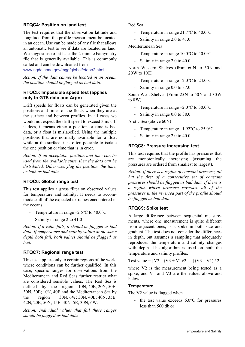#### **RTQC4: Position on land test**

The test requires that the observation latitude and longitude from the profile measurement be located in an ocean. Use can be made of any file that allows an automatic test to see if data are located on land. We suggest use of at least the 2-minute bathymetry file that is generally available. This is commonly called and can be downloaded from

www.ngdc.noaa.gov/mgg/global/etopo2.html.

*Action: If the data cannot be located in an ocean, the position should be flagged as bad data.* 

#### **RTQC5: Impossible speed test (applies only to GTS data and Argo)**

Drift speeds for floats can be generated given the positions and times of the floats when they are at the surface and between profiles. In all cases we would not expect the drift speed to exceed 3 m/s. If it does, it means either a position or time is bad data, or a float is mislabelled. Using the multiple positions that are normally available for a float while at the surface, it is often possible to isolate the one position or time that is in error.

*Action: If an acceptable position and time can be used from the available suite, then the data can be distributed. Otherwise, flag the position, the time, or both as bad data.* 

#### **RTQC6: Global range test**

This test applies a gross filter on observed values for temperature and salinity. It needs to accommodate all of the expected extremes encountered in the oceans.

- Temperature in range  $-2.5^{\circ}$ C to 40.0°C
- Salinity in range 2 to 41.0

*Action: If a value fails, it should be flagged as bad data. If temperature and salinity values at the same depth both fail, both values should be flagged as bad.* 

#### **RTQC7: Regional range test**

This test applies only to certain regions of the world where conditions can be further qualified. In this case, specific ranges for observations from the Mediterranean and Red Seas further restrict what are considered sensible values. The Red Sea is defined by the region 10N, 40E; 20N, 50E; 30N, 30E; 10N, 40E and the Mediterranean Sea by the region 30N, 6W; 30N, 40E; 40N, 35E; 42N, 20E; 50N, 15E; 40N, 5E; 30N, 6W.

*Action: Individual values that fail these ranges should be flagged as bad data.* 

Red Sea

- Temperature in range 21.7°C to 40.0°C
- Salinity in range 2.0 to 41.0

Mediterranean Sea

- Temperature in range 10.0°C to 40.0°C
- Salinity in range 2.0 to 40.0

North Western Shelves (from 60N to 50N and 20 W to 10 E)

- Temperature in range  $-2.0^{\circ}$ C to 24.0°C
- Salinity in range 0.0 to 37.0

South West Shelves (From 25N to 50N and 30W to  $0W$ )

- Temperature in range  $-2.0^{\circ}$ C to 30.0°C
- Salinity in range 0.0 to 38.0

Arctic Sea (above 60N)

- Temperature in range  $-1.92^{\circ}$ C to 25.0°C
- Salinity in range 2.0 to 40.0

#### **RTQC8: Pressure increasing test**

This test requires that the profile has pressures that are monotonically increasing (assuming the pressures are ordered from smallest to largest).

*Action: If there is a region of constant pressure, all but the first of a consecutive set of constant pressures should be flagged as bad data. If there is a region where pressure reverses, all of the pressures in the reversed part of the profile should be flagged as bad data.* 

#### **RTQC9: Spike test**

A large difference between sequential measurements, where one measurement is quite different from adjacent ones, is a spike in both size and gradient. The test does not consider the differences in depth, but assumes a sampling that adequately reproduces the temperature and salinity changes with depth. The algorithm is used on both the temperature and salinity profiles:

Test value =  $|V2 - (V3 + V1)/2| - |(V3 - V1)/2|$ 

where V2 is the measurement being tested as a spike, and V1 and V3 are the values above and below.

#### **Temperature**

The V2 value is flagged when

- the test value exceeds 6.0°C for pressures less than 500 db or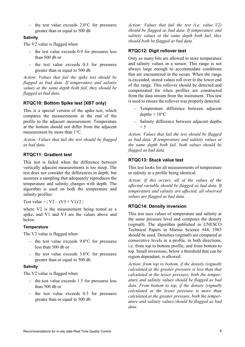- the test value exceeds 2.0°C for pressures greater than or equal to 500 db

#### **Salinity**

The V2 value is flagged when

- the test value exceeds 0.9 for pressures less than 500 db or
- the test value exceeds 0.3 for pressures greater than or equal to 500 db

*Action: Values that fail the spike test should be flagged as bad data. If temperature and salinity values at the same depth both fail, they should be flagged as bad data.* 

#### **RTQC10: Bottom Spike test (XBT only)**

This is a special version of the spike test, which compares the measurements at the end of the profile to the adjacent measurement. Temperature at the bottom should not differ from the adjacent measurement by more than 1°C.

*Action: Values that fail the test should be flagged as bad data.*

#### **RTQC11: Gradient test**

This test is failed when the difference between vertically adjacent measurements is too steep. The test does not consider the differences in depth, but assumes a sampling that adequately reproduces the temperature and salinity changes with depth. The algorithm is used on both the temperature and salinity profiles:

Test value =  $|V2 - (V3 + V1)/2|$ 

where V2 is the measurement being tested as a spike, and V1 and V3 are the values above and below.

#### **Temperature**

The V2 value is flagged when

- the test value exceeds 9.0°C for pressures less than 500 db or
- the test value exceeds 3.0°C for pressures greater than or equal to 500 db

#### **Salinity**

The V2 value is flagged when

- the test value exceeds 1.5 for pressures less than 500 db or
- the test value exceeds 0.5 for pressures greater than or equal to 500 db

*Action: Values that fail the test (i.e. value V2) should be flagged as bad data. If temperature and salinity values at the same depth both fail, they should both be flagged as bad data.* 

#### **RTQC12: Digit rollover test**

Only so many bits are allowed to store temperature and salinity values in a sensor. This range is not always large enough to accommodate conditions that are encountered in the ocean. When the range is exceeded, stored values roll over to the lower end of the range. This rollover should be detected and compensated for when profiles are constructed from the data stream from the instrument. This test is used to ensure the rollover was properly detected.

- Temperature difference between adjacent depths  $> 10^{\circ}$ C
- Salinity difference between adjacent depths  $> 5$

*Action: Values that fail the test should be flagged as bad data. If temperature and salinity values at the same depth both fail, both values should be flagged as bad data.* 

#### **RTQC13: Stuck value test**

This test looks for all measurements of temperature or salinity in a profile being identical.

*Action: If this occurs, all of the values of the affected variable should be flagged as bad data. If temperature and salinity are affected, all observed values are flagged as bad data.* 

#### **RTQC14: Density inversion**

This test uses values of temperature and salinity at the same pressure level and computes the density (sigma0). The algorithm published in UNESCO Technical Papers in Marine Science #44, 1983 should be used. Densities (sigma0) are compared at consecutive levels in a profile, in both directions, i.e. from top to bottom profile, and from bottom to top. Small inversions, below a threshold that can be region dependant, is allowed.

*Action: from top to bottom, if the density (sigma0) calculated at the greater pressure is less than that calculated at the lesser pressure, both the temperature and salinity values should be flagged as bad data. From bottom to top, if the density (sigma0) calculated at the lesser pressure is more than calculated at the greater pressure, both the temperature and salinity values should be flagged as bad data.*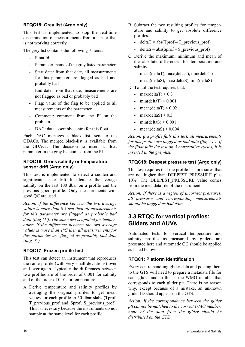#### **RTQC15: Grey list (Argo only)**

This test is implemented to stop the real-time dissemination of measurements from a sensor that is not working correctly.

The grey list contains the following 7 items:

- Float Id
- Parameter: name of the grey listed parameter
- Start date: from that date, all measurements for this parameter are flagged as bad and probably bad
- End date: from that date, measurements are not flagged as bad or probably bad
- Flag: value of the flag to be applied to all measurements of the parameter
- Comment: comment from the PI on the problem
- DAC: data assembly centre for this float

Each DAC manages a black list, sent to the GDACs. The merged black-list is available from the GDACs. The decision to insert a float parameter in the grey list comes from the PI.

#### **RTQC16: Gross salinity or temperature sensor drift (Argo only)**

This test is implemented to detect a sudden and significant sensor drift. It calculates the average salinity on the last 100 dbar on a profile and the previous good profile. Only measurements with good QC are used.

*Action: if the difference between the two average values is more than 0.5 psu then all measurements for this parameter are flagged as probably bad data (flag '3'). The same test is applied for temperature: if the difference between the two average values is more than 1°C then all measurements for this parameter are flagged as probably bad data (flag '3').*

#### **RTQC17: Frozen profile test**

This test can detect an instrument that reproduces the same profile (with very small deviations) over and over again. Typically the differences between two profiles are of the order of 0.001 for salinity and of the order of 0.01 for temperature.

A. Derive temperature and salinity profiles by averaging the original profiles to get mean values for each profile in 50 dbar slabs (Tprof, T\_previous\_prof and Sprof, S\_previous\_prof). This is necessary because the instruments do not sample at the same level for each profile.

- B. Subtract the two resulting profiles for temperature and salinity to get absolute difference profiles:
	- deltaT = abs(Tprof T\_previous\_prof)
	- deltaS = abs(Sprof S\_previous\_prof)
- C. Derive the maximum, minimum and mean of the absolute differences for temperature and salinity:
	- mean(deltaT), max(deltaT), min(deltaT)
	- mean(deltaS), max(deltaS), min(deltaS)
- D. To fail the test requires that:
	- max $(dettaT) < 0.3$
	- $min(dettaT) < 0.001$
	- $mean(deltaT) < 0.02$
	- max(deltaS)  $\leq$  0.3
	- min(deltaS)  $< 0.001$
	- mean(deltaS)  $\leq$  0.004

*Action: if a profile fails this test, all measurements for this profile are flagged as bad data (flag '4'). If the float fails the test on 5 consecutive cycles, it is inserted in the grey-list.*

#### **RTQC18: Deepest pressure test (Argo only)**

This test requires that the profile has pressures that are not higher than DEEPEST\_PRESSURE plus 10%. The DEEPEST\_PRESSURE value comes from the metadata file of the instrument.

*Action: If there is a region of incorrect pressures, all pressures and corresponding measurements should be flagged as bad data.* 

### <span id="page-9-0"></span>**3.3 RTQC for vertical profiles: Gliders and AUVs**

Automated tests for vertical temperature and salinity profiles as measured by gliders are presented here and automatic QC should be applied as listed below.

#### **RTQC1: Platform identification**

Every centre handling glider data and posting them to the GTS will need to prepare a metadata file for each glider and in this is the WMO number that corresponds to each glider ptt. There is no reason why, except because of a mistake, an unknown glider ID should appear on the GTS.

*Action: If the correspondence between the glider ptt cannot be matched to the correct WMO number, none of the data from the glider should be distributed on the GTS.*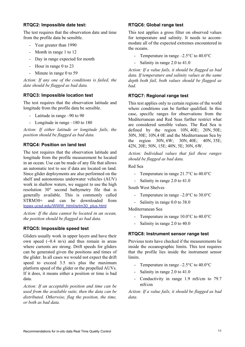#### **RTQC2: Impossible date test:**

The test requires that the observation date and time from the profile data be sensible.

- Year greater than 1990
- Month in range 1 to 12
- Day in range expected for month
- Hour in range 0 to 23
- Minute in range 0 to 59

*Action: If any one of the conditions is failed, the date should be flagged as bad data.* 

#### **RTQC3: Impossible location test**

The test requires that the observation latitude and longitude from the profile data be sensible.

- Latitude in range –90 to 90
- Longitude in range –180 to 180

*Action: If either latitude or longitude fails, the position should be flagged as bad data.* 

#### **RTQC4: Position on land test**

The test requires that the observation latitude and longitude from the profile measurement be located in an ocean. Use can be made of any file that allows an automatic test to see if data are located on land. Since glider deployments are also performed on the shelf and autonomous underwater vehicles (AUV) work in shallow waters, we suggest to use the high resolution 30" second bathymetry file that is generally available. This is commonly called STRM30+ and can be downloaded from topex.ucsd.edu/WWW\_html/srtm30\_plus.html

*Action: If the data cannot be located in an ocean, the position should be flagged as bad data.*

#### **RTQC5: Impossible speed test**

Gliders usually work in upper layers and have their own speed  $(-0.4 \text{ m/s})$  and thus remain in areas where currents are strong. Drift speeds for gliders can be generated given the positions and times of the glider. In all cases we would not expect the drift speed to exceed 3.5 m/s plus the maximum platform speed of the glider or the propelled AUVs. If it does, it means either a position or time is bad data.

*Action: If an acceptable position and time can be used from the available suite, then the data can be distributed. Otherwise, flag the position, the time, or both as bad data.* 

#### **RTQC6: Global range test**

This test applies a gross filter on observed values for temperature and salinity. It needs to accommodate all of the expected extremes encountered in the oceans.

- Temperature in range  $-2.5^{\circ}$ C to  $40.0^{\circ}$ C
- Salinity in range 2.0 to 41.0

*Action: If a value fails, it should be flagged as bad data. If temperature and salinity values at the same depth both fail, both values should be flagged as bad.* 

#### **RTQC7: Regional range test**

This test applies only to certain regions of the world where conditions can be further qualified. In this case, specific ranges for observations from the Mediterranean and Red Seas further restrict what are considered sensible values. The Red Sea is defined by the region 10N, 40E; 20N, 50E; 30N, 30E; 10N,4 0E and the Mediterranean Sea by the region 30N, 6W; 30N, 40E; 40N, 35E; 42N, 20E; 50N, 15E; 40N, 5E; 30N, 6W.

*Action: Individual values that fail these ranges should be flagged as bad data.* 

Red Sea

- Temperature in range 21.7°C to 40.0°C
- Salinity in range 2.0 to 41.0

South West Shelves

- Temperature in range  $-2.0$ °C to 30.0°C
- Salinity in range 0.0 to 38.0

Mediterranean Sea

- Temperature in range 10.0°C to 40.0°C
- Salinity in range 2.0 to 40.0

#### **RTQC8: Instrument sensor range test**

Previous tests have checked if the measurements lie inside the oceanographic limits. This test requires that the profile lies inside the instrument sensor limits.

- Temperature in range  $-2.5^{\circ}$ C to  $40.0^{\circ}$ C
- Salinity in range 2.0 to 41.0
- Conductivity in range 1.9 mS/cm to 79.7 mS/cm

*Action: If a value fails, it should be flagged as bad data.*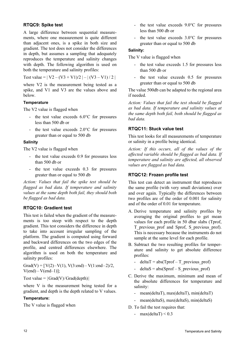#### **RTQC9: Spike test**

A large difference between sequential measurements, where one measurement is quite different than adjacent ones, is a spike in both size and gradient. The test does not consider the differences in depth, but assumes a sampling that adequately reproduces the temperature and salinity changes with depth. The following algorithm is used on both the temperature and salinity profiles:

Test value =  $|V2 - (V3 + V1)/2| - |(V3 - V1)/2|$ 

where V2 is the measurement being tested as a spike, and V1 and V3 are the values above and below.

#### **Temperature**

The V2 value is flagged when

- the test value exceeds 6.0°C for pressures less than 500 db or
- the test value exceeds 2.0°C for pressures greater than or equal to 500 db

#### **Salinity**

The V2 value is flagged when

- the test value exceeds 0.9 for pressures less than 500 db or
- the test value exceeds 0.3 for pressures greater than or equal to 500 db

*Action: Values that fail the spike test should be flagged as bad data. If temperature and salinity values at the same depth both fail, they should both be flagged as bad data.* 

#### **RTQC10: Gradient test**

This test is failed when the gradient of the measurements is too steep with respect to the depth gradient. This test considers the difference in depth to take into account irregular sampling of the platform. The gradient is computed using forward and backward differences on the two edges of the profile, and centred differences elsewhere. The algorithm is used on both the temperature and salinity profiles:

Grad(V) =  $[V(2)-V(1), V(3:end) - V(1:end-2)/2]$ ,  $V(end)-V(end-1)$ ];

Test value =  $|Grad(V)/Grad(depth)|$ 

where V is the measurement being tested for a gradient, and depth is the depth related to V values.

#### **Temperature:**

The V value is flagged when

- the test value exceeds 9.0°C for pressures less than 500 db or
- the test value exceeds 3.0°C for pressures greater than or equal to 500 db

#### **Salinity:**

The V value is flagged when

- the test value exceeds 1.5 for pressures less than 500 db or
- the test value exceeds 0.5 for pressures greater than or equal to 500 db

The value 500db can be adapted to the regional area if needed.

*Action: Values that fail the test should be flagged as bad data. If temperature and salinity values at the same depth both fail, both should be flagged as bad data.* 

#### **RTQC11: Stuck value test**

This test looks for all measurements of temperature or salinity in a profile being identical.

*Action: If this occurs, all of the values of the affected variable should be flagged as bad data. If temperature and salinity are affected, all observed values are flagged as bad data.* 

#### **RTQC12: Frozen profile test**

This test can detect an instrument that reproduces the same profile (with very small deviations) over and over again. Typically the differences between two profiles are of the order of 0.001 for salinity and of the order of 0.01 for temperature.

- A. Derive temperature and salinity profiles by averaging the original profiles to get mean values for each profile in 50 dbar slabs (Tprof, T\_previous\_prof and Sprof, S\_previous\_prof). This is necessary because the instruments do not sample at the same level for each profile.
- B. Subtract the two resulting profiles for temperature and salinity to get absolute difference profiles:
	- deltaT = abs(Tprof T\_previous\_prof)
	- $delta = abs(Sprof S pervious prof)$
- C. Derive the maximum, minimum and mean of the absolute differences for temperature and salinity:
	- mean(deltaT), max(deltaT), min(deltaT)
	- mean(deltaS), max(deltaS), min(deltaS)
- D. To fail the test requires that:
	- max(deltaT)  $\leq 0.3$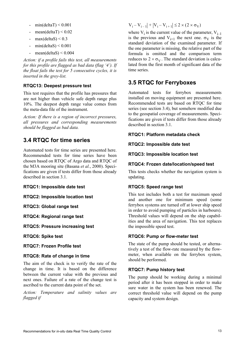- min(deltaT)  $< 0.001$
- mean(deltaT)  $< 0.02$
- max $(dettaS) < 0.3$
- $min(dettaS) < 0.001$
- $mean(deltaS) < 0.004$

*Action: if a profile fails this test, all measurements for this profile are flagged as bad data (flag '4'). If the float fails the test for 5 consecutive cycles, it is inserted in the grey-list.*

#### **RTQC13: Deepest pressure test**

This test requires that the profile has pressures that are not higher than vehicle safe depth range plus 10%. The deepest depth range value comes from the meta-data file of the instrument.

*Action: If there is a region of incorrect pressures, all pressures and corresponding measurements should be flagged as bad data.* 

### <span id="page-12-0"></span>**3.4 RTQC for time series**

Automated tests for time series are presented here. Recommended tests for time series have been chosen based on RTQC of Argo data and RTQC of the M3A mooring site (Basana *et al.*, 2000). Specifications are given if tests differ from those already described in section [3.1.](#page-6-1)

**RTQC1: Impossible date test**

**RTQC2: Impossible location test**

**RTQC3: Global range test**

**RTQC4: Regional range test**

**RTQC5: Pressure increasing test** 

**RTQC6: Spike test**

**RTQC7: Frozen Profile test**

#### **RTQC8: Rate of change in time**

The aim of the check is to verify the rate of the change in time. It is based on the difference between the current value with the previous and next ones. Failure of a rate of the change test is ascribed to the current data point of the set.

*Action: Temperature and salinity values are flagged if*

### $V_i - V_{i-1}$  +  $|V_i - V_{i+1}| \le 2 \times (2 \times \sigma_V)$

where  $V_i$  is the current value of the parameter,  $V_{i-1}$ is the previous and  $V_{i+1}$  the next one.  $\sigma_V$  is the standard deviation of the examined parameter. If the one parameter is missing, the relative part of the formula is omitted and the comparison term reduces to  $2 \times \sigma_V$ . The standard deviation is calculated from the first month of significant data of the time series.

### <span id="page-12-1"></span>**3.5 RTQC for Ferryboxes**

Automated tests for ferrybox measurements installed on moving equipment are presented here. Recommended tests are based on RTQC for time series (see section [3.4](#page-12-0)), but somehow modified due to the geospatial coverage of measurements. Specifications are given if tests differ from those already described in section [3.1.](#page-6-1)

#### **RTQC1: Platform metadata check**

#### **RTQC2: Impossible date test**

#### **RTQC3: Impossible location test**

#### **RTQC4: Frozen date/location/speed test**

This tests checks whether the navigation system is updating.

#### **RTQC5: Speed range test**

This test includes both a test for maximum speed and another one for minimum speed (some ferrybox systems are turned off at lower ship speed in order to avoid pumping of particles in harbours). Threshold values will depend on the ship capabilities and the area of navigation. This test replaces the impossible speed test.

#### **RTQC6: Pump or flow-meter test**

The state of the pump should be tested, or alternatively a test of the flow-rate measured by the flowmeter, when available on the ferrybox system, should be performed.

#### **RTQC7: Pump history test**

The pump should be working during a minimal period after it has been stopped in order to make sure water in the system has been renewed. The correct threshold value will depend on the pump capacity and system design.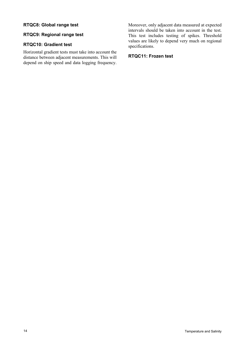#### **RTQC8: Global range test**

#### **RTQC9: Regional range test**

#### **RTQC10: Gradient test**

Horizontal gradient tests must take into account the distance between adjacent measurements. This will depend on ship speed and data logging frequency. Moreover, only adjacent data measured at expected intervals should be taken into account in the test. This test includes testing of spikes. Threshold values are likely to depend very much on regional specifications.

#### **RTQC11: Frozen test**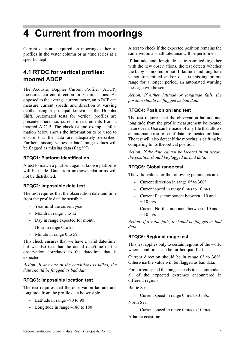## <span id="page-14-0"></span>**4 Current from moorings**

Current data are acquired on moorings either as profiles in the water column or as time series at a specific depth.

## <span id="page-14-1"></span>**4.1 RTQC for vertical profiles: moored ADCP**

The Acoustic Doppler Current Profiler (ADCP) measures current direction in 3 dimensions. As opposed to the average current meter, an ADCP can measure current speeds and direction at varying depths using a principal known as the Doppler Shift. Automated tests for vertical profiles are presented here, i.e. current measurements from a moored ADCP. The checklist and example information below shows the information to be used to ensure that the data are adequately described. Further, missing values or bad/strange values will be flagged as missing data (flag '9').

#### **RTQC1: Platform identification**

A test to match a platform against known platforms will be made. Data from unknown platforms will not be distributed.

#### **RTQC2: Impossible date test**

The test requires that the observation date and time from the profile data be sensible.

- Year until the current year
- Month in range 1 to 12
- Day in range expected for month
- Hour in range 0 to 23
- Minute in range 0 to 59

This check ensures that we have a valid date/time, but we also test that the actual date/time of the observation correlates to the date/time that is expected.

*Action: If any one of the conditions is failed, the date should be flagged as bad data.* 

#### **RTQC3: Impossible location test**

The test requires that the observation latitude and longitude from the profile data be sensible.

- Latitude in range –90 to 90
- Longitude in range –180 to 180

A test to check if the expected position remains the same within a small tolerance will be performed.

If latitude and longitude is transmitted together with the new observations, the test detects whether the buoy is moored or not. If latitude and longitude is not transmitted and/or data is missing or out range for a longer period, an automated warning message will be sent.

*Action: If either latitude or longitude fails, the position should be flagged as bad data.* 

#### **RTQC4: Position on land test**

The test requires that the observation latitude and longitude from the profile measurement be located in an ocean. Use can be made of any file that allows an automatic test to see if data are located on land. The test will also detect if the mooring is drifting by comparing to its theoretical position.

*Action: If the data cannot be located in an ocean, the position should be flagged as bad data.* 

#### **RTQC5: Global range test**

The valid values for the following parameters are:

- Current direction in range  $0^{\circ}$  to  $360^{\circ}$ .
- Current speed in range 0 m/s to 10 m/s.
- Current East component between –10 and  $+ 10 \text{ m/s}$
- Current North component between –10 and  $+ 10$  m/s

*Action: If a value fails, it should be flagged as bad data.* 

#### **RTQC6: Regional range test**

This test applies only to certain regions of the world where conditions can be further qualified.

Current direction should be in range 0° to 360°. Otherwise the value will be flagged as bad data.

For current speed the ranges needs to accommodate all of the expected extremes encountered in different regions:

Baltic Sea

- Current speed in range 0 m/s to 3 m/s.

North Sea

- Current speed in range 0 m/s to 10 m/s.

Atlantic coastline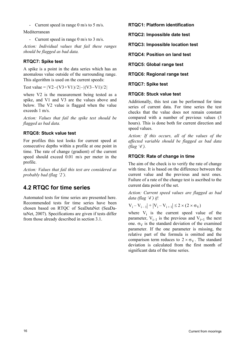- Current speed in range 0 m/s to 5 m/s.

Mediterranean

- Current speed in range 0 m/s to 3 m/s.

*Action: Individual values that fail these ranges should be flagged as bad data.* 

#### **RTQC7: Spike test**

A spike is a point in the data series which has an anomalous value outside of the surrounding range. This algorithm is used on the current speeds:

Test value =  $|V2-(V3+V1)/2|$  –  $|(V3-V1)/2|$ 

where V2 is the measurement being tested as a spike, and V1 and V3 are the values above and below. The V2 value is flagged when the value exceeds 1 m/s.

*Action: Values that fail the spike test should be flagged as bad data.* 

#### **RTQC8: Stuck value test**

For profiles this test looks for current speed at consecutive depths within a profile at one point in time. The rate of change (gradient) of the current speed should exceed 0.01 m/s per meter in the profile.

*Action: Values that fail this test are considered as probably bad (flag '2').*

### <span id="page-15-0"></span>**4.2 RTQC for time series**

Automated tests for time series are presented here. Recommended tests for time series have been chosen based on RTQC of SeaDataNet (SeaDataNet, 2007). Specifications are given if tests differ from those already described in section [3.1.](#page-6-3)

**RTQC1: Platform identification**

**RTQC2: Impossible date test**

**RTQC3: Impossible location test**

**RTQC4: Position on land test**

**RTQC5: Global range test**

**RTQC6: Regional range test**

**RTQC7: Spike test** 

#### **RTQC8: Stuck value test**

Additionally, this test can be performed for time series of current data. For time series the test checks that the value does not remain constant compared with a number of previous values (3 hours). This is done both for current direction and speed values.

*Action: If this occurs, all of the values of the affected variable should be flagged as bad data (flag '4').*

#### **RTQC9: Rate of change in time**

The aim of the check is to verify the rate of change with time. It is based on the difference between the current value and the previous and next ones. Failure of a rate of the change test is ascribed to the current data point of the set.

*Action: Current speed values are flagged as bad data (flag '4') if:*

 $|V_i - V_{i-1}| + |V_i - V_{i+1}| \le 2 \times (2 \times \sigma_V)$ 

where  $V_i$  is the current speed value of the parameter,  $V_{i-1}$  is the previous and  $V_{i+1}$  the next one.  $\sigma_V$  is the standard deviation of the examined parameter. If the one parameter is missing, the relative part of the formula is omitted and the comparison term reduces to  $2 \times \sigma_V$ . The standard deviation is calculated from the first month of significant data of the time series.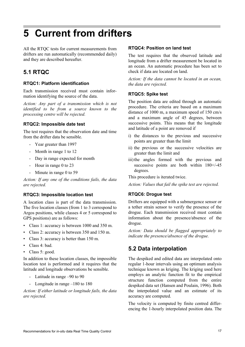## <span id="page-16-0"></span>**5 Current from drifters**

All the RTOC tests for current measurements from drifters are run automatically (recommended daily) and they are described hereafter.

## <span id="page-16-1"></span>**5.1 RTQC**

#### **RTQC1: Platform identification**

Each transmission received must contain information identifying the source of the data.

*Action: Any part of a transmission which is not identified to be from a source known to the processing centre will be rejected.*

#### **RTQC2: Impossible date test**

The test requires that the observation date and time from the drifter data be sensible.

- Year greater than 1997
- Month in range 1 to 12
- Day in range expected for month
- Hour in range 0 to 23
- Minute in range 0 to 59

*Action: If any one of the conditions fails, the data are rejected.* 

#### **RTQC3: Impossible location test**

A location class is part of the data transmission. The five location classes (from 1 to 3 correspond to Argos positions, while classes 4 or 5 correspond to GPS positions) are as follows:

- Class 1: accuracy is between 1000 and 350 m.
- Class 2: accuracy is between 350 and 150 m.
- Class 3: accuracy is better than 150 m.
- Class 4: bad.
- Class 5: good.

In addition to these location classes, the impossible location test is performed and it requires that the latitude and longitude observations be sensible.

- Latitude in range –90 to 90
- Longitude in range –180 to 180

*Action: If either latitude or longitude fails, the data are rejected.* 

#### **RTQC4: Position on land test**

The test requires that the observed latitude and longitude from a drifter measurement be located in an ocean. An automatic procedure has been set to check if data are located on land.

*Action: If the data cannot be located in an ocean, the data are rejected.* 

#### **RTQC5: Spike test**

The position data are edited through an automatic procedure. The criteria are based on a maximum distance of 1000 m, a maximum speed of 150 cm/s and a maximum angle of 45 degrees, between successive points. This means that the longitude and latitude of a point are removed if

- i) the distances to the previous and successive points are greater than the limit
- ii) the previous or the successive velocities are greater than the limit and
- iii)the angles formed with the previous and successive points are both within  $180+/45$ degrees.

This procedure is iterated twice.

*Action: Values that fail the spike test are rejected.*

#### **RTQC6: Drogue test**

Drifters are equipped with a submergence sensor or a tether strain sensor to verify the presence of the drogue. Each transmission received must contain information about the presence/absence of the drogue.

*Action: Data should be flagged appropriately to indicate the presence/absence of the drogue.*

### <span id="page-16-2"></span>**5.2 Data interpolation**

The despiked and edited data are interpolated onto regular 1-hour intervals using an optimum analysis technique known as kriging. The kriging used here employs an analytic function fit to the empirical structure function computed from the entire despiked data set (Hansen and Poulain, 1996). Both the interpolated value and an estimate of its accuracy are computed.

The velocity is computed by finite centred differencing the 1-hourly interpolated position data. The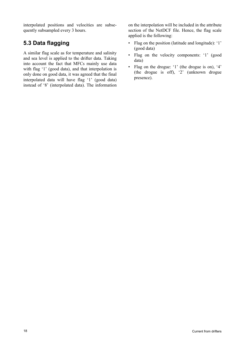interpolated positions and velocities are subsequently subsampled every 3 hours.

## <span id="page-17-0"></span>**5.3 Data flagging**

A similar flag scale as for temperature and salinity and sea level is applied to the drifter data. Taking into account the fact that MFCs mainly use data with flag '1' (good data), and that interpolation is only done on good data, it was agreed that the final interpolated data will have flag '1' (good data) instead of '8' (interpolated data). The information

on the interpolation will be included in the attribute section of the NetDCF file. Hence, the flag scale applied is the following:

- Flag on the position (latitude and longitude): '1' (good data)
- Flag on the velocity components: '1' (good data)
- Flag on the drogue: '1' (the drogue is on), '4' (the drogue is off), '2' (unknown drogue presence).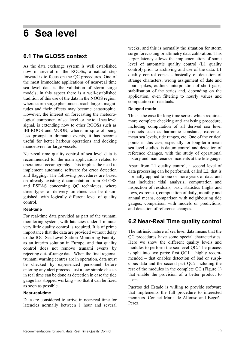## <span id="page-18-0"></span>**6 Sea level**

### <span id="page-18-1"></span>**6.1 The GLOSS context**

As the data exchange system is well established now in several of the ROOSs, a natural step forward is to focus on the QC procedures. One of the most immediate applications of near-real time sea level data is the validation of storm surge models; in this aspect there is a well-established tradition of this use of the data in the NOOS region, where storm surge phenomena reach largest magnitudes and their effects may become catastrophic. However, the interest on forecasting the meteorological component of sea level, or the total sea level signal, is extending now to other ROOSs such as IBI-ROOS and MOON, where, in spite of being less prompt to dramatic events, it has become useful for better harbour operations and docking manoeuvres for large vessels.

Near-real time quality control of sea level data is recommended for the main applications related to operational oceanography. This implies the need to implement automatic software for error detection and flagging. The following procedures are based on already existing documentation from GLOSS and ESEAS concerning QC techniques, where three types of delivery timelines can be distinguished, with logically different level of quality control.

#### **Real-time**

For real-time data provided as part of the tsunami monitoring system, with latencies under 1 minute, very little quality control is required. It is of prime importance that the data are provided without delay to the IOC Sea Level Station Monitoring Facility, as an interim solution in Europe, and that quality control does not remove tsunami events by rejecting out-of-range data. When the final regional tsunami warning centres are in operation, data must be checked by experienced personnel before entering any alert process. Just a few simple checks in real time can be done as detection in case the tide gauge has stopped working – so that it can be fixed as soon as possible.

#### **Near-real-time**

Data are considered to arrive in near-real time for latencies normally between 1 hour and several weeks, and this is normally the situation for storm surge forecasting or altimetry data calibration. This larger latency allows the implementation of some level of automatic quality control (L1 quality control) prior to archiving and use of the data. L1 quality control consists basically of detection of strange characters, wrong assignment of date and hour, spikes, outliers, interpolation of short gaps, stabilisation of the series and, depending on the application, even filtering to hourly values and computation of residuals.

#### **Delayed mode**

This is the case for long time series, which require a more complete checking and analysing procedure, including computation of all derived sea level products such as harmonic constants, extremes, mean sea levels, tide ranges, etc. One of the critical points in this case, especially for long-term mean sea level studies, is datum control and detection of reference changes, with the study of operational history and maintenance incidents at the tide gauge.

Apart from L1 quality control, a second level of data processing can be performed, called L2, that is normally applied to one or more years of data, and that includes: tidal analysis, computation and inspection of residuals, basic statistics (highs and lows, extremes), computation of daily, monthly and annual means, comparison with neighbouring tide gauges, comparison with models or predictions, and detection of reference changes.

### <span id="page-18-2"></span>**6.2 Near-Real Time quality control**

The intrinsic nature of sea level data means that the QC procedures have some special characteristics. Here we show the different quality levels and modules to perform the sea level QC. The process is split into two parts: first  $QC1 -$  highly recommended – that enables detection of bad or suspicious data and the second part QC2 including the rest of the modules in the complete QC (Figure 1) that enable the provision of a better product to users.

Puertos del Estado is willing to provide software that implements the full procedure to interested members. Contact Marta de Alfonso and Begoña Pérez.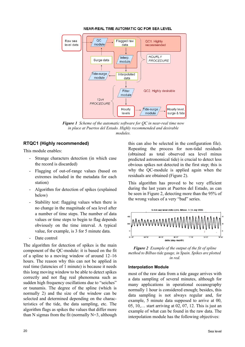

#### **NEAR-REAL TIME AUTOMATIC QC FOR SEA LEVEL**

<span id="page-19-1"></span>*Figure 1 Scheme of the automatic software for QC in near-real time now in place at Puertos del Estado. Highly recommended and desirable modules.*

#### **RTQC1 (Highly recommended)**

This module enables:

- Strange characters detection (in which case the record is discarded)
- Flagging of out-of-range values (based on extremes included in the metadata for each station)
- Algorithm for detection of spikes (explained below)
- Stability test: flagging values when there is no change in the magnitude of sea level after a number of time steps. The number of data values or time steps to begin to flag depends obviously on the time interval. A typical value, for example, is 3 for 5 minute data.
- Date control

The algorithm for detection of spikes is the main component of the QC-module: it is based on the fit of a spline to a moving window of around 12–16 hours. The reason why this can not be applied in real time (latencies of 1 minute) is because it needs this long moving window to be able to detect spikes correctly and not flag real phenomena such as sudden high frequency oscillations due to "seiches" or tsunamis. The degree of the spline (which is normally 2) and the size of the window can be selected and determined depending on the characteristics of the tide, the data sampling, etc. The algorithm flags as spikes the values that differ more than N sigmas from the fit (normally  $N=3$ , although this can also be selected in the configuration file). Repeating the process for non-tidal residuals (obtained as total observed sea level minus predicted astronomical tide) is crucial to detect less obvious spikes not detected in the first step; this is why the QC-module is applied again when the residuals are obtained [\(Figure 2](#page-19-0)).

This algorithm has proved to be very efficient during the last years at Puertos del Estado, as can be seen in [Figure 2](#page-19-0), detecting more than the 95% of the wrong values of a very "bad" series.



<span id="page-19-0"></span>*Figure 2 Example of the output of the fit of spline method to Bilbao tide gauge, in Spain. Spikes are plotted in red.*

#### **Interpolation Module**

most of the raw data from a tide gauge arrives with a data sampling of several minutes, although for many applications in operational oceanography normally 1 hour is considered enough; besides, this data sampling is not always regular and, for example, 5 minute data supposed to arrive at 00, 05, 10,… start arriving at 02, 07, 12. This is just an example of what can be found in the raw data. The interpolation module has the following objectives: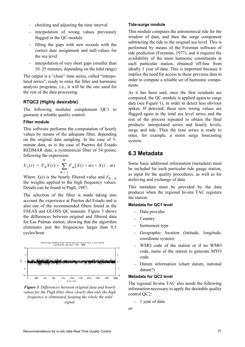- checking and adjusting the time interval
- interpolation of wrong values previously flagged in the QC-module
- filling the gaps with new records with the correct date assignment and null-values for the sea level
- interpolation of very short gaps (smaller than 10–25 minutes, depending on the tidal range)

The output is a "clean" time series, called "interpolated series", ready to enter the filter and harmonic analysis programs, i.e., it will be the one used for the rest of the data processing.

#### **RTQC2 (Highly desirable)**

The following modules complement QC1 to guaranty a reliable quality control.

#### **Filter module**

This software performs the computation of hourly values by means of the adequate filter, depending on the original data sampling. In the case of 5 minute data, as is the case of Puertos del Estado REDMAR data, a symmetrical filter of 54 points, following the expression:

$$
X_f(t) = F_0 X(t) + \sum_{m=1}^{M} F_m [X(t+m) + X(t-m)]
$$

Where  $X_f(t)$  is the hourly filtered value and  $F_{0\dots m}$ the weights applied to the high frequency values. Details can be found in Pugh, 1987.

The selection of the filter is made taking into account the experience at Puertos del Estado and is also one of the recommended filters found in the ESEAS and GLOSS QC manuals. [Figure 3](#page-20-1) shows the differences between original and filtered data for Las Palmas station, showing that the algorithm eliminates just the frequencies larger than 0.5 cycles/hour.



<span id="page-20-1"></span>*Figure 3 Differences between original data and hourly values for the Pugh filter show clearly that only the high frequency is eliminated, keeping the whole the tidal signal.*

#### **Tide-surge module**

This module computes the astronomical tide for the window of data, and then the surge component subtracting the tide to the original sea level. This is performed by means of the Foreman software of tide prediction (Foreman, 1977), and it requires the availability of the main harmonic constituents at each particular station, obtained off-line from ideally 1 year of data. This is important because it implies the need for access to these previous data in order to compute a reliable set of harmonic components.

As it has been said, once the first residuals are computed, the QC-module is applied again to surge data (see [Figure 1\)](#page-19-1), in order to detect less obvious spikes. If detected, these new wrong values are flagged again in the total sea level series and the rest of the process repeated to obtain the final products: interpolated series and hourly levels, surge and tide. Then the time series is ready to enter, for example, a storm surge forecasting system.

#### <span id="page-20-0"></span>**6.3 Metadata**

Some basic additional information (metadata) must be included for each particular tide gauge station, as input for the quality procedures, as well as for archiving and exchange of data.

This metadata must be provided by the data producer when the regional In-situ TAC registers the station.

#### **Metadata for QC1 level**

- Data provider
- **Country**
- Instrument type
- Geographic location (latitude, longitude, coordinate system)
- WMO code of the station or if no WMO code, name of the station to generate MYO code.
- Datum information (chart datum, national datum?)

#### **Metadata for QC2 level**

The regional In-situ TAC also needs the following information necessary to apply the desirable quality control QC2:

- 1 year of data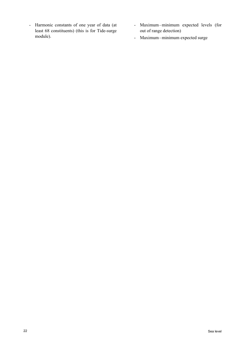- Harmonic constants of one year of data (at least 68 constituents) (this is for Tide-surge module).
- Maximum minimum expected levels (for out of range detection)
- Maximum-minimum expected surge